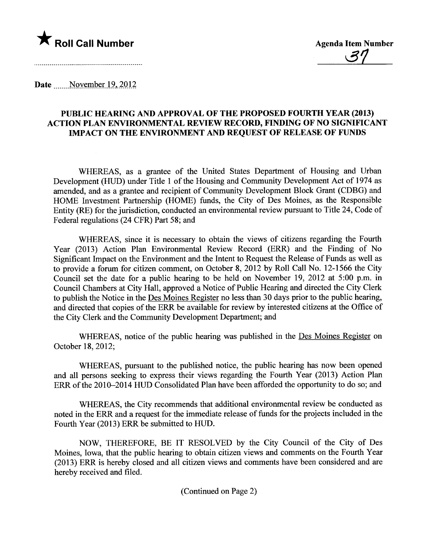

Date November 19, 2012

## PUBLIC HEARING AND APPROVAL OF THE PROPOSED FOURTH YEAR (2013) ACTION PLAN ENVRONMENTAL REVIEW RECORD, FINDING OF NO SIGNIFICANT IMP ACT ON THE ENVIRONMENT AND REQUEST OF RELEASE OF FUNDS

WHEREAS, as a grantee of the United States Department of Housing and Urban Development (HUD) under Title 1 of the Housing and Community Development Act of 1974 as amended, and as a grantee and recipient of Community Development Block Grant (CDBG) and HOME Investment Partnership (HOME) funds, the City of Des Moines, as the Responsible Entity (RE) for the jurisdiction, conducted an environmental review pursuant to Title 24, Code of Federal regulations (24 CFR) Part 58; and

WHEREAS, since it is necessary to obtain the views of citizens regarding the Fourh Year (2013) Action Plan Environmental Review Record (ERR) and the Finding of No Significant Impact on the Environment and the Intent to Request the Release of Funds as well as to provide a forum for citizen comment, on October 8, 2012 by Roll Call No. 12-1566 the City Council set the date for a public hearing to be held on November 19, 2012 at 5:00 p.m. in Council Chambers at City Hall, approved a Notice of Public Hearing and directed the City Clerk to publish the Notice in the Des Moines Register no less than 30 days prior to the public hearing, and directed that copies of the ERR be available for review by interested citizens at the Office of the City Clerk and the Community Development Deparment; and

WHEREAS, notice of the public hearing was published in the Des Moines Register on October 18,2012;

WHEREAS, pursuant to the published notice, the public hearing has now been opened and all persons seeking to express their views regarding the Fourh Year (2013) Action Plan ERR of the 2010-2014 HUD Consolidated Plan have been afforded the opportunty to do so; and

WHEREAS, the City recommends that additional environmental review be conducted as noted in the ERR and a request for the immediate release of fuds for the projects included in the Fourh Year (2013) ERR be submitted to HUD.

NOW, THEREFORE, BE IT RESOLVED by the City Council of the City of Des Moines, Iowa, that the public hearing to obtain citizen views and comments on the Fourth Year (2013) ERR is hereby closed and all citizen views and comments have been considered and are hereby received and filed.

(Continued on Page 2)